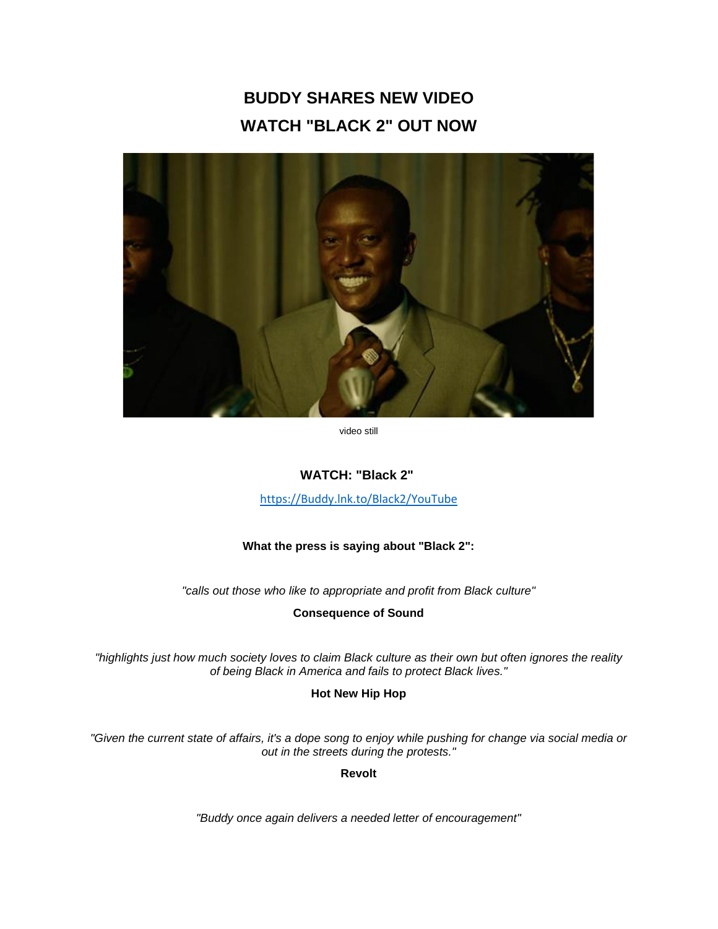# **BUDDY SHARES NEW VIDEO WATCH "BLACK 2" OUT NOW**



video still

# **WATCH: "Black 2"**

[https://Buddy.lnk.to/Black2/YouTube](https://eur01.safelinks.protection.outlook.com/?url=https%3A%2F%2Fbuddy.lnk.to%2FBlack2%2FYouTube&data=02%7C01%7Ckirsten.mikkelson%40rcarecords.com%7Ce9e351a6a40b4bbecc9d08d82d916a64%7Cf0aff3b791a54aaeaf71c63e1dda2049%7C0%7C0%7C637309449922199602&sdata=JlWAgyrJ5IXFaRWmibxg2tBrGKRCTtqzcrsXpxZ7zL0%3D&reserved=0)

## **What the press is saying about "Black 2":**

*"calls out those who like to appropriate and profit from Black culture"*

**Consequence of Sound**

*"highlights just how much society loves to claim Black culture as their own but often ignores the reality of being Black in America and fails to protect Black lives."*

**Hot New Hip Hop**

*"Given the current state of affairs, it's a dope song to enjoy while pushing for change via social media or out in the streets during the protests."*

**Revolt**

*"Buddy once again delivers a needed letter of encouragement"*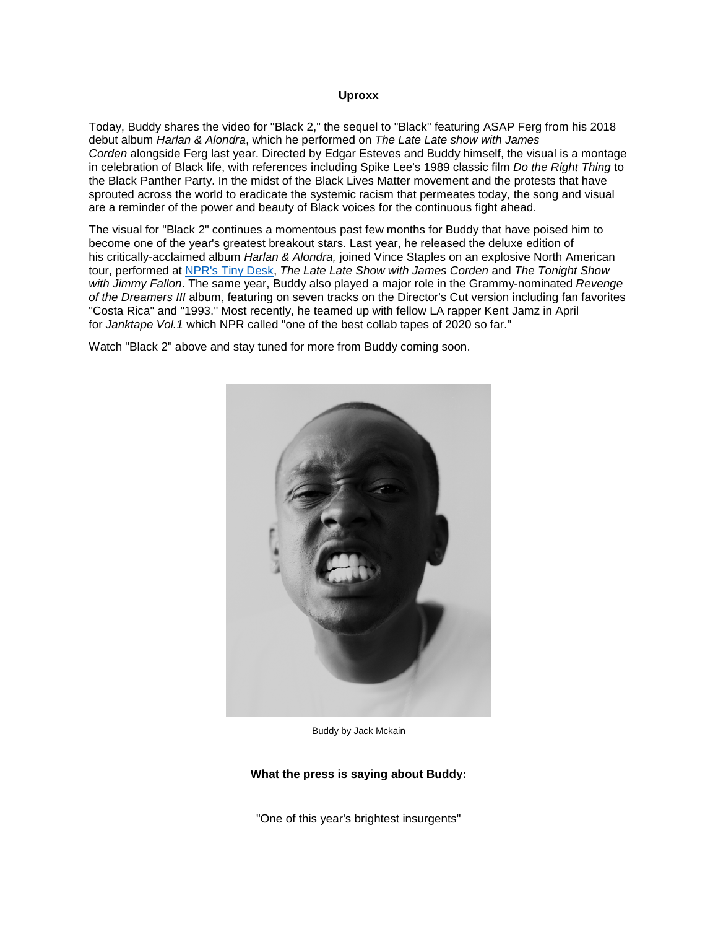#### **Uproxx**

Today, Buddy shares the video for "Black 2," the sequel to "Black" featuring ASAP Ferg from his 2018 debut album *Harlan & Alondra*, which he performed on *The Late Late show with James Corden* alongside Ferg last year. Directed by Edgar Esteves and Buddy himself, the visual is a montage in celebration of Black life, with references including Spike Lee's 1989 classic film *Do the Right Thing* to the Black Panther Party. In the midst of the Black Lives Matter movement and the protests that have sprouted across the world to eradicate the systemic racism that permeates today, the song and visual are a reminder of the power and beauty of Black voices for the continuous fight ahead.

The visual for "Black 2" continues a momentous past few months for Buddy that have poised him to become one of the year's greatest breakout stars. Last year, he released the deluxe edition of his critically-acclaimed album *Harlan & Alondra,* joined Vince Staples on an explosive North American tour, performed at [NPR's Tiny Desk,](https://eur01.safelinks.protection.outlook.com/?url=https%3A%2F%2Fwww.youtube.com%2Fwatch%3Fv%3DUU5a8xIiuWc&data=02%7C01%7Ckirsten.mikkelson%40rcarecords.com%7Ce9e351a6a40b4bbecc9d08d82d916a64%7Cf0aff3b791a54aaeaf71c63e1dda2049%7C0%7C0%7C637309449922209597&sdata=gM%2Bl1mtlqziprb4A6NxrGElYbrNRoTRdDvNmdr5YIj8%3D&reserved=0) *The Late Late Show with James Corden* and *The Tonight Show with Jimmy Fallon*. The same year, Buddy also played a major role in the Grammy-nominated *Revenge of the Dreamers III* album, featuring on seven tracks on the Director's Cut version including fan favorites "Costa Rica" and "1993." Most recently, he teamed up with fellow LA rapper Kent Jamz in April for *Janktape Vol.1* which NPR called "one of the best collab tapes of 2020 so far."

Watch "Black 2" above and stay tuned for more from Buddy coming soon.



Buddy by Jack Mckain

#### **What the press is saying about Buddy:**

"One of this year's brightest insurgents"